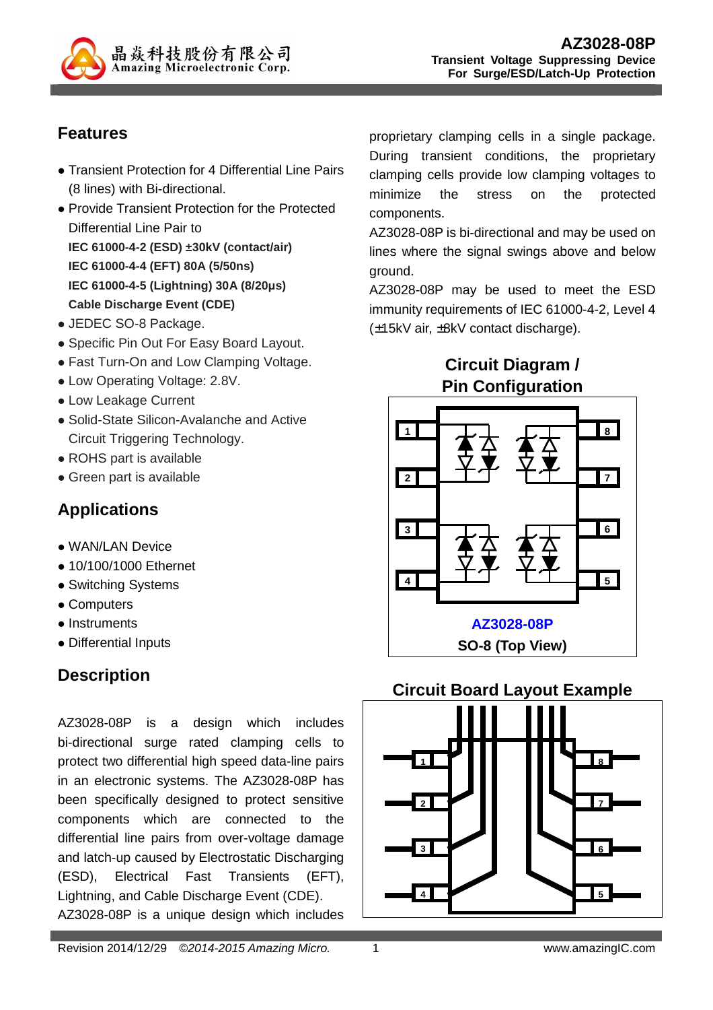

## **Features**

- Transient Protection for 4 Differential Line Pairs (8 lines) with Bi-directional.
- Provide Transient Protection for the Protected Differential Line Pair to **IEC 61000-4-2 (ESD) ±30kV (contact/air) IEC 61000-4-4 (EFT) 80A (5/50ns) IEC 61000-4-5 (Lightning) 30A (8/20µs) Cable Discharge Event (CDE)**
- JEDEC SO-8 Package.
- Specific Pin Out For Easy Board Layout.
- Fast Turn-On and Low Clamping Voltage.
- Low Operating Voltage: 2.8V.
- Low Leakage Current
- Solid-State Silicon-Avalanche and Active Circuit Triggering Technology.
- ROHS part is available
- Green part is available

# **Applications**

- WAN/LAN Device
- 10/100/1000 Ethernet
- Switching Systems
- Computers
- Instruments
- Differential Inputs

# **Description**

AZ3028-08P is a design which includes bi-directional surge rated clamping cells to protect two differential high speed data-line pairs in an electronic systems. The AZ3028-08P has been specifically designed to protect sensitive components which are connected to the differential line pairs from over-voltage damage and latch-up caused by Electrostatic Discharging (ESD), Electrical Fast Transients (EFT), Lightning, and Cable Discharge Event (CDE). AZ3028-08P is a unique design which includes

Revision 2014/12/29 © 2014-2015 Amazing Micro. 1 1 minutes and the www.amazingIC.com

proprietary clamping cells in a single package. During transient conditions, the proprietary clamping cells provide low clamping voltages to minimize the stress on the protected components.

AZ3028-08P is bi-directional and may be used on lines where the signal swings above and below ground.

AZ3028-08P may be used to meet the ESD immunity requirements of IEC 61000-4-2, Level 4 (±15kV air, ±8kV contact discharge).

> **Circuit Diagram / Pin Configuration**



#### **Circuit Board Layout Example**

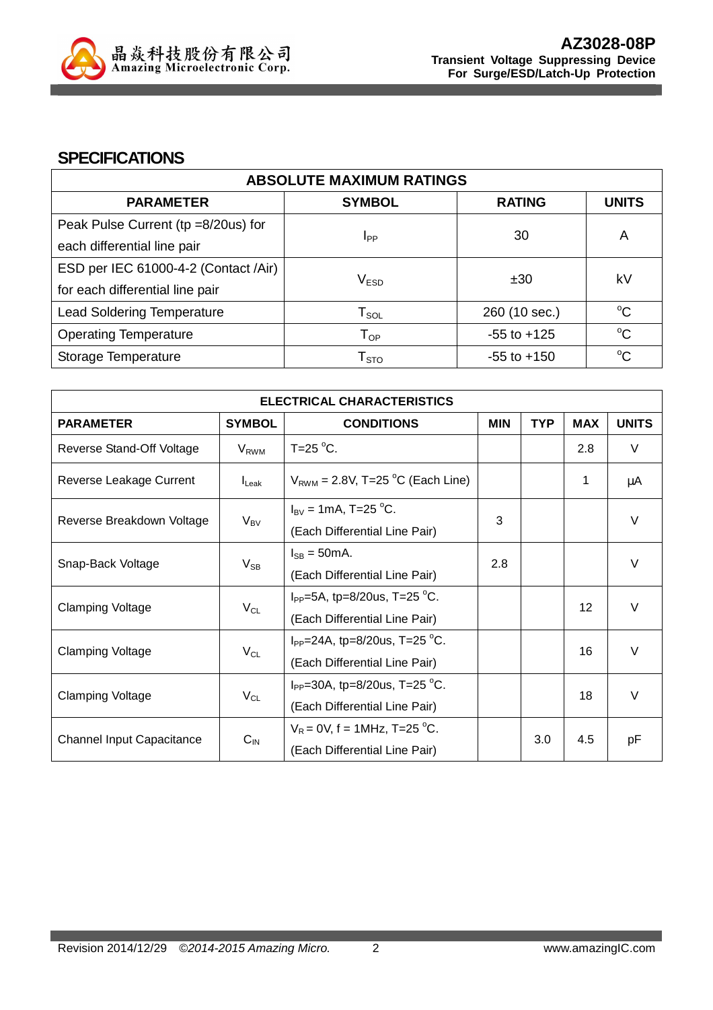

#### **SPECIFICATIONS**

| <b>ABSOLUTE MAXIMUM RATINGS</b>      |                             |                 |              |  |
|--------------------------------------|-----------------------------|-----------------|--------------|--|
| <b>PARAMETER</b>                     | <b>SYMBOL</b>               | <b>RATING</b>   | <b>UNITS</b> |  |
| Peak Pulse Current (tp =8/20us) for  |                             | 30              |              |  |
| each differential line pair          | Ipp                         |                 | A            |  |
| ESD per IEC 61000-4-2 (Contact /Air) |                             |                 |              |  |
| for each differential line pair      | V <sub>ESD</sub>            | ±30             | kV           |  |
| <b>Lead Soldering Temperature</b>    | ${\sf T}_{\sf SOL}$         | 260 (10 sec.)   | $^{\circ}C$  |  |
| <b>Operating Temperature</b>         | ${\mathsf T}_{\textsf{OP}}$ | $-55$ to $+125$ | $\rm ^{o}C$  |  |
| Storage Temperature                  | ${\mathsf T}_{\text{STO}}$  | $-55$ to $+150$ | $\rm ^{o}C$  |  |

| <b>ELECTRICAL CHARACTERISTICS</b> |                   |                                                   |            |            |                             |              |
|-----------------------------------|-------------------|---------------------------------------------------|------------|------------|-----------------------------|--------------|
| <b>PARAMETER</b>                  | <b>SYMBOL</b>     | <b>CONDITIONS</b>                                 | <b>MIN</b> | <b>TYP</b> | <b>MAX</b>                  | <b>UNITS</b> |
| Reverse Stand-Off Voltage         | $V_{RWM}$         | T=25 $\degree$ C.                                 |            |            | 2.8                         | $\vee$       |
| Reverse Leakage Current           | $I_{\text{Leak}}$ | $V_{RWM}$ = 2.8V, T=25 <sup>o</sup> C (Each Line) |            |            | 1                           | μA           |
| Reverse Breakdown Voltage         |                   | $I_{BV} = 1 \text{mA}, T = 25 \text{ °C}.$        | 3          |            |                             | $\vee$       |
|                                   | $V_{BV}$          | (Each Differential Line Pair)                     |            |            |                             |              |
|                                   | $V_{SB}$          | $I_{SB} = 50mA$ .                                 | 2.8        |            |                             | $\vee$       |
| Snap-Back Voltage                 |                   | (Each Differential Line Pair)                     |            |            |                             |              |
|                                   | $V_{CL}$          | $I_{PP}$ =5A, tp=8/20us, T=25 °C.                 |            |            | $\vee$<br>$12 \overline{ }$ |              |
| <b>Clamping Voltage</b>           |                   | (Each Differential Line Pair)                     |            |            |                             |              |
| <b>Clamping Voltage</b>           | $V_{CL}$          | $I_{PP}$ =24A, tp=8/20us, T=25 °C.                |            |            | 16                          | $\vee$       |
|                                   |                   | (Each Differential Line Pair)                     |            |            |                             |              |
| <b>Clamping Voltage</b>           | $V_{CL}$          | $I_{PP}$ =30A, tp=8/20us, T=25 °C.                |            |            |                             | $\vee$       |
|                                   |                   | (Each Differential Line Pair)                     |            |            | 18                          |              |
|                                   | $C_{IN}$          | $V_R = 0V$ , f = 1MHz, T=25 °C.                   |            |            |                             |              |
| <b>Channel Input Capacitance</b>  |                   | (Each Differential Line Pair)                     | 3.0        |            | 4.5                         | pF           |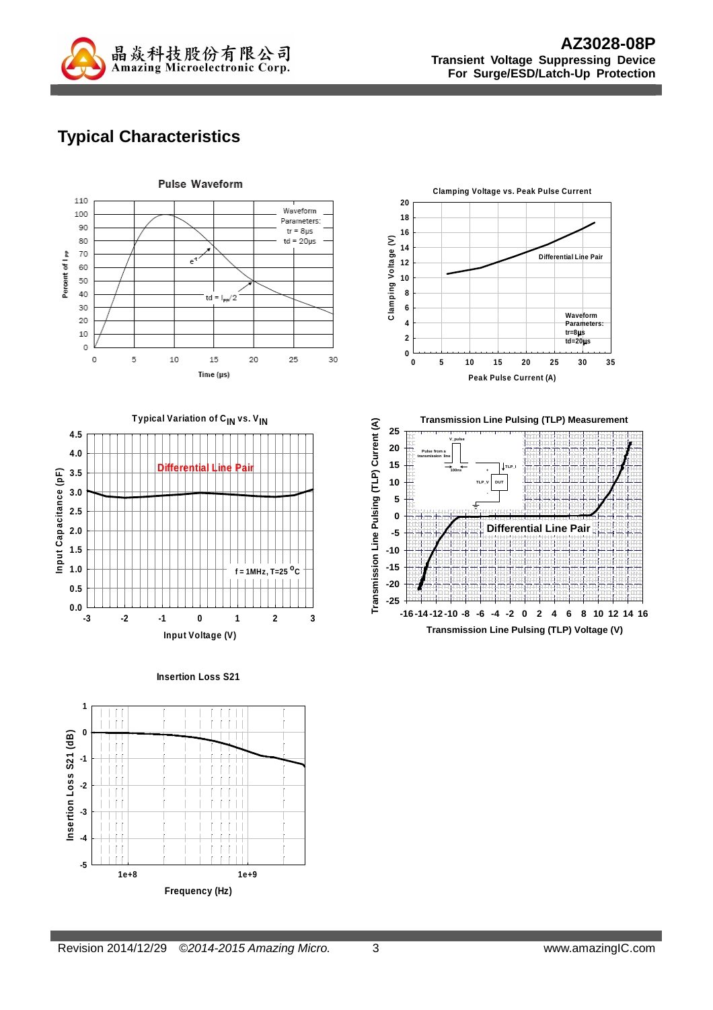

**Differential Line Pair**

**Waveform Parameters: tr=8**µ**s td=20**µ**s**

**DUT TLP\_I**

# **Typical Characteristics**



**Insertion Loss S21**



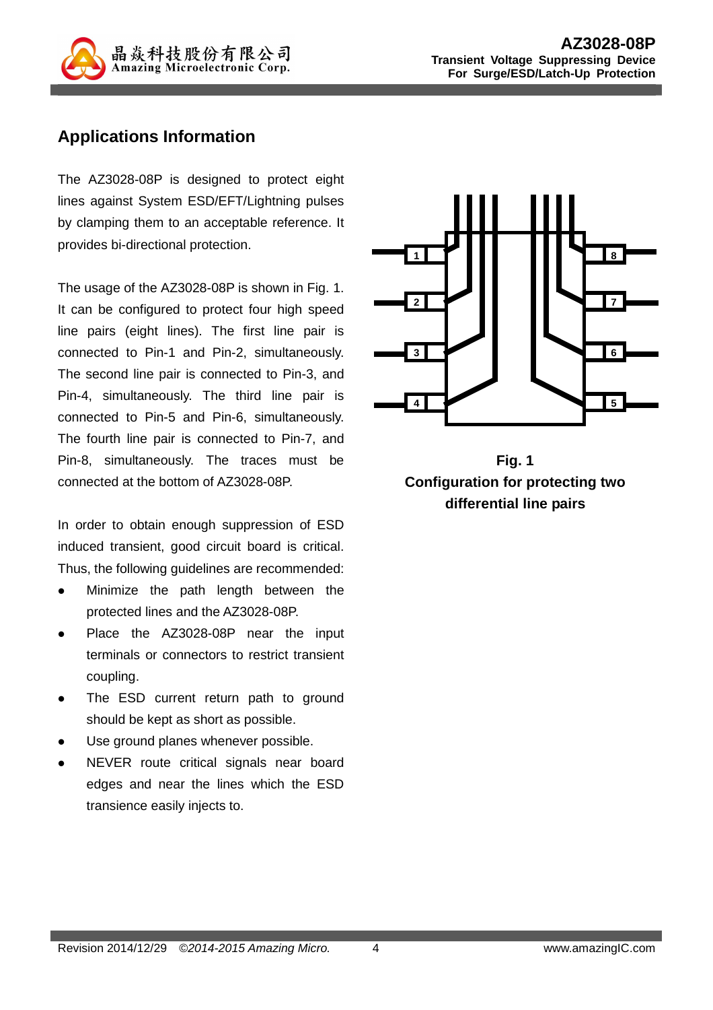

### **Applications Information**

The AZ3028-08P is designed to protect eight lines against System ESD/EFT/Lightning pulses by clamping them to an acceptable reference. It provides bi-directional protection.

The usage of the AZ3028-08P is shown in Fig. 1. It can be configured to protect four high speed line pairs (eight lines). The first line pair is connected to Pin-1 and Pin-2, simultaneously. The second line pair is connected to Pin-3, and Pin-4, simultaneously. The third line pair is connected to Pin-5 and Pin-6, simultaneously. The fourth line pair is connected to Pin-7, and Pin-8, simultaneously. The traces must be connected at the bottom of AZ3028-08P.

In order to obtain enough suppression of ESD induced transient, good circuit board is critical. Thus, the following guidelines are recommended:

- Minimize the path length between the protected lines and the AZ3028-08P.
- Place the AZ3028-08P near the input terminals or connectors to restrict transient coupling.
- The ESD current return path to ground should be kept as short as possible.
- Use ground planes whenever possible.
- NEVER route critical signals near board edges and near the lines which the ESD transience easily injects to.



**Fig. 1 Configuration for protecting two differential line pairs**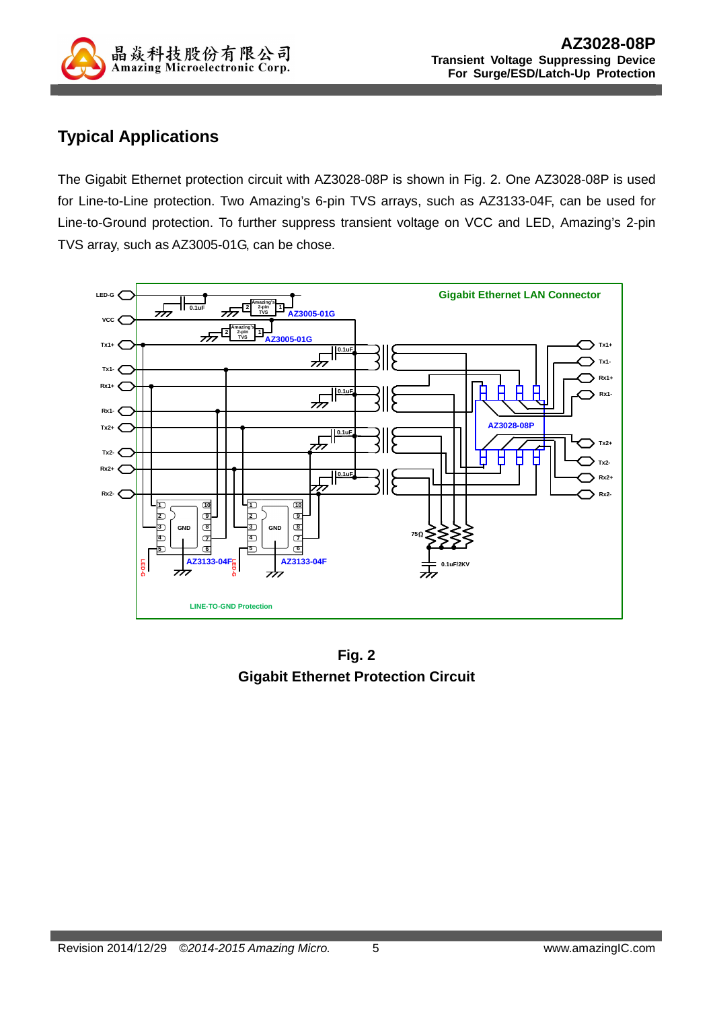

## **Typical Applications**

The Gigabit Ethernet protection circuit with AZ3028-08P is shown in Fig. 2. One AZ3028-08P is used for Line-to-Line protection. Two Amazing's 6-pin TVS arrays, such as AZ3133-04F, can be used for Line-to-Ground protection. To further suppress transient voltage on VCC and LED, Amazing's 2-pin TVS array, such as AZ3005-01G, can be chose.



**Fig. 2 Gigabit Ethernet Protection Circuit**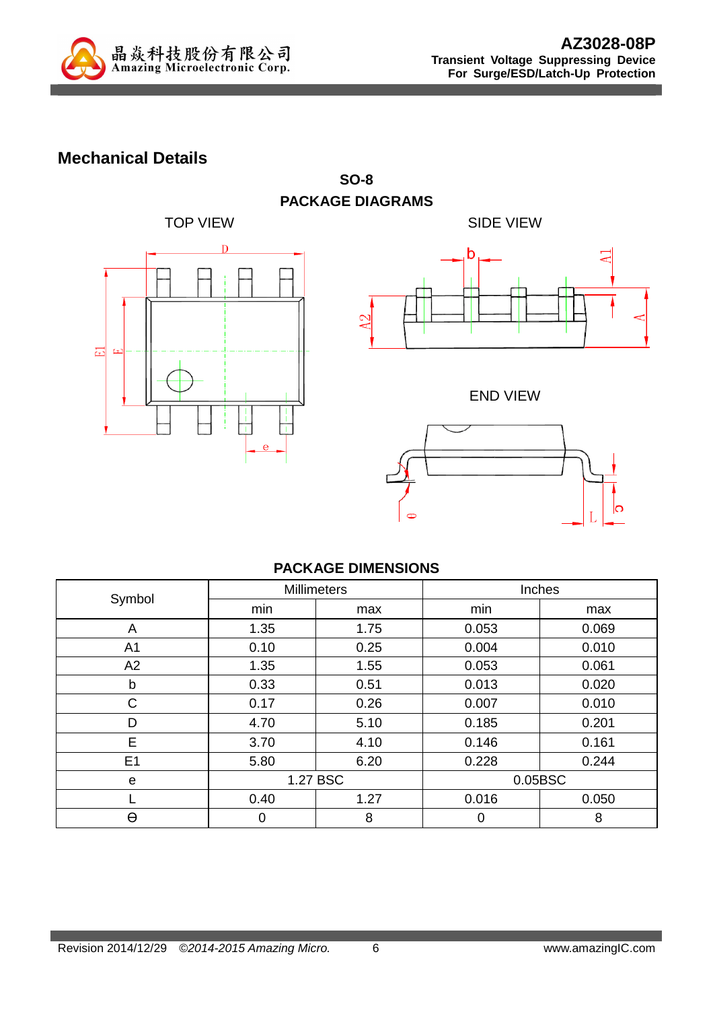

### **Mechanical Details**



TOP VIEW **SIDE VIEW** h

END VIEW



#### **PACKAGE DIMENSIONS**

**SO-8** 

| Symbol         |          | <b>Millimeters</b> |         | Inches |  |
|----------------|----------|--------------------|---------|--------|--|
|                | min      | max                | min     | max    |  |
| A              | 1.35     | 1.75               | 0.053   | 0.069  |  |
| A <sub>1</sub> | 0.10     | 0.25               | 0.004   | 0.010  |  |
| A2             | 1.35     | 1.55               | 0.053   | 0.061  |  |
| b              | 0.33     | 0.51               | 0.013   | 0.020  |  |
| $\mathsf{C}$   | 0.17     | 0.26               | 0.007   | 0.010  |  |
| D              | 4.70     | 5.10               | 0.185   | 0.201  |  |
| E              | 3.70     | 4.10               | 0.146   | 0.161  |  |
| E <sub>1</sub> | 5.80     | 6.20               | 0.228   | 0.244  |  |
| e              | 1.27 BSC |                    | 0.05BSC |        |  |
|                | 0.40     | 1.27               | 0.016   | 0.050  |  |
| θ              | 0        | 8                  | 0       | 8      |  |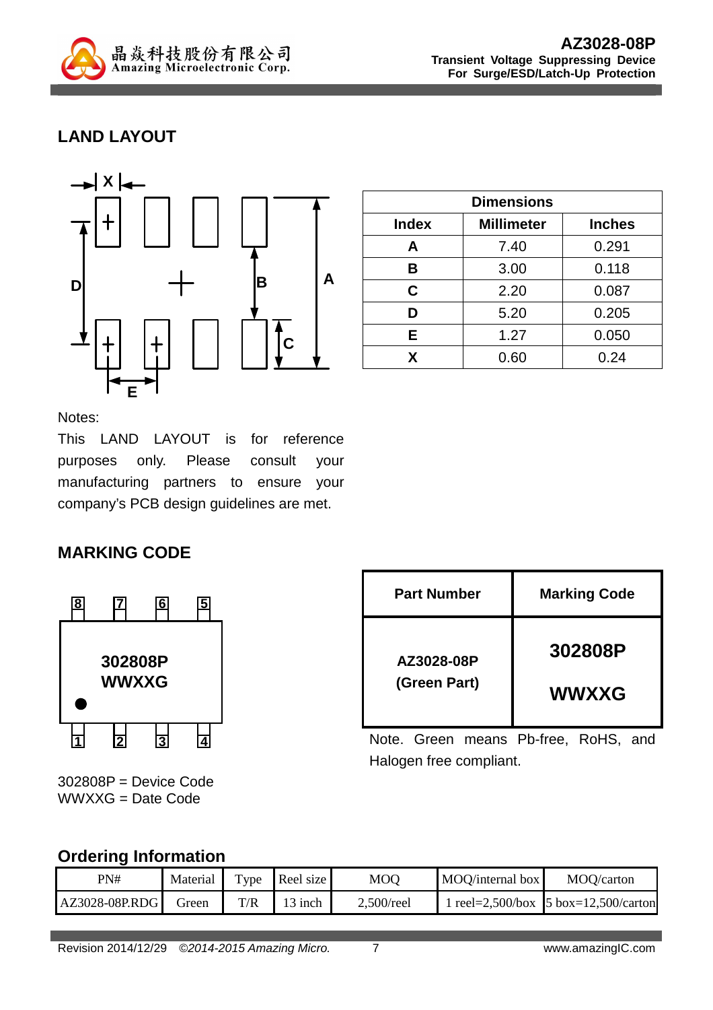

## **LAND LAYOUT**



| <b>Dimensions</b> |                   |               |  |
|-------------------|-------------------|---------------|--|
| <b>Index</b>      | <b>Millimeter</b> | <b>Inches</b> |  |
| A                 | 7.40              | 0.291         |  |
| В                 | 3.00              | 0.118         |  |
| C                 | 2.20              | 0.087         |  |
| D                 | 5.20              | 0.205         |  |
| Е                 | 1.27              | 0.050         |  |
| x                 | 0.60              | 0.24          |  |

Notes:

This LAND LAYOUT is for reference purposes only. Please consult your manufacturing partners to ensure your company's PCB design guidelines are met.

## **MARKING CODE**



302808P = Device Code WWXXG = Date Code

| <b>Part Number</b> | <b>Marking Code</b> |
|--------------------|---------------------|
| AZ3028-08P         | 302808P             |
| (Green Part)       | <b>WWXXG</b>        |

Note. Green means Pb-free, RoHS, and Halogen free compliant.

#### **Ordering Information**

| PN#            | Material | $TV$ pe | Reel size | MOQ           | MOQ/internal box | MOQ/carton                                   |
|----------------|----------|---------|-----------|---------------|------------------|----------------------------------------------|
| AZ3028-08P.RDG | Green    | T/R     | 13 inch   | $2,500$ /reel |                  | 1 reel=2,500/box $\vert$ 5 box=12,500/carton |